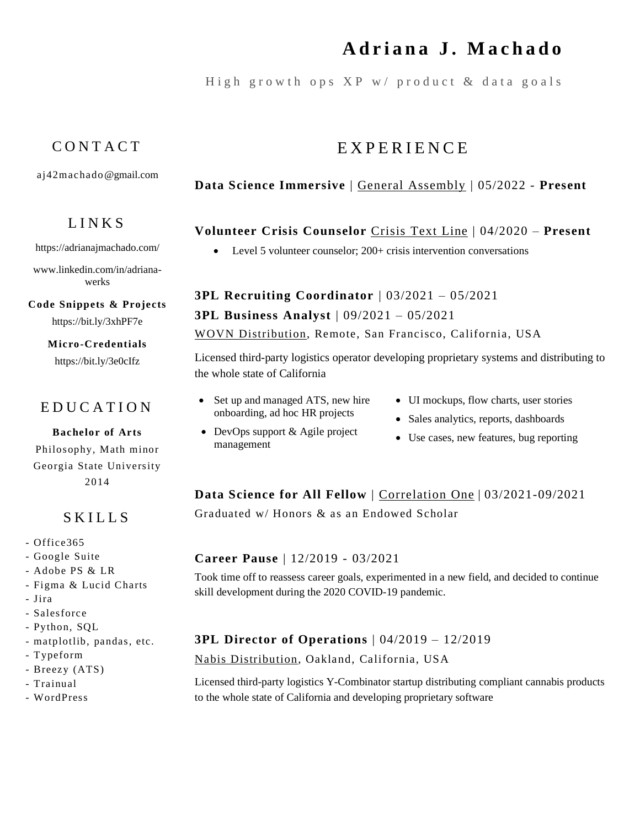# **A d r i a n a J . M a c h a d o**

High growth ops  $XP$  w/ product  $\&$  data goals

# C O N T A C T

[aj42machado@gmail.com](mailto:aj42machado@gmail.com)

## L I N K S

<https://adrianajmachado.com/>

[www.linkedin.com/in/adriana](http://www.linkedin.com/in/adriana-werks)[werks](http://www.linkedin.com/in/adriana-werks)

**Code Snippets & Projects**

**Micro-Credentials**

# E D U C A T I O N

#### **Bachelor of Arts**

Philosophy, Math minor Georgia State University 2014

## S K I L L S

- Office365
- Google Suite
- Adobe PS & LR
- Figma & Lucid Charts
- Jira
- Salesforce
- Python, SQL
- matplotlib, pandas, etc.
- Typeform
- Breezy (ATS)
- Trainual
- WordPress

**Data Science Immersive** | General [Assembly](https://generalassemb.ly/education/data-science-immersive-remote-flex) | 05/2022 - **Present**

## **Volunteer Crisis Counselor** [Crisis](https://www.crisistextline.org/) Text Line | 04/2020 – **Present**

• Level 5 volunteer counselor: 200+ crisis intervention conversations

**3PL Recruiting Coordinator** | 03/2021 – 05/2021 **3PL Business Analyst** | 09/2021 – 05/2021 WOVN [Distribution,](https://wearewovn.com/) Remote, San Francisco, California, US[A](https://www.linkedin.com/company/mental-health-association-of-san-francisco/)

Licensed third-party logistics operator developing proprietary systems and distributing to the whole state of California

• Set up and managed ATS, new hire onboarding, ad hoc HR projects

• DevOps support & Agile project

management

- UI mockups, flow charts, user stories
- Sales analytics, reports, dashboards
- Use cases, new features, bug reporting

# **Data Science for All Fellow** | [Correlation](https://c1-web.correlation-one.com/ds4a-empowerment) One | 03/2021-09/2021

Graduated w/ Honors & as an Endowed Scholar

#### **Career Pause** | 12/2019 - 03/2021

Took time off to reassess career goals, experimented in a new field, and decided to continue skill development during the 2020 COVID-19 pandemic.

#### **3PL Director of Operations** | 04/2019 – 12/2019

Nabis [Distribution,](https://www.nabis.com/) Oakland, California, USA

Licensed third-party logistics Y-Combinator startup distributing compliant cannabis products to the whole state of California and developing proprietary software

E X P E R I E N C E

<https://bit.ly/3xhPF7e>

<https://bit.ly/3e0cIfz>